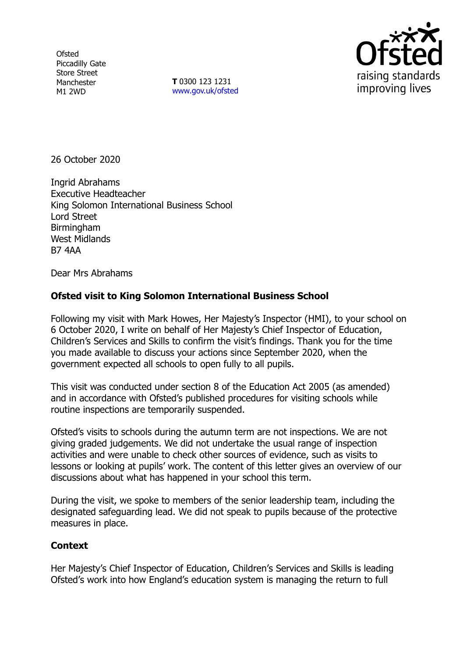**Ofsted** Piccadilly Gate Store Street Manchester M1 2WD

**T** 0300 123 1231 [www.gov.uk/ofsted](http://www.gov.uk/ofsted)



26 October 2020

Ingrid Abrahams Executive Headteacher King Solomon International Business School Lord Street **Birmingham** West Midlands B7 4AA

Dear Mrs Abrahams

## **Ofsted visit to King Solomon International Business School**

Following my visit with Mark Howes, Her Majesty's Inspector (HMI), to your school on 6 October 2020, I write on behalf of Her Majesty's Chief Inspector of Education, Children's Services and Skills to confirm the visit's findings. Thank you for the time you made available to discuss your actions since September 2020, when the government expected all schools to open fully to all pupils.

This visit was conducted under section 8 of the Education Act 2005 (as amended) and in accordance with Ofsted's published procedures for visiting schools while routine inspections are temporarily suspended.

Ofsted's visits to schools during the autumn term are not inspections. We are not giving graded judgements. We did not undertake the usual range of inspection activities and were unable to check other sources of evidence, such as visits to lessons or looking at pupils' work. The content of this letter gives an overview of our discussions about what has happened in your school this term.

During the visit, we spoke to members of the senior leadership team, including the designated safeguarding lead. We did not speak to pupils because of the protective measures in place.

## **Context**

Her Majesty's Chief Inspector of Education, Children's Services and Skills is leading Ofsted's work into how England's education system is managing the return to full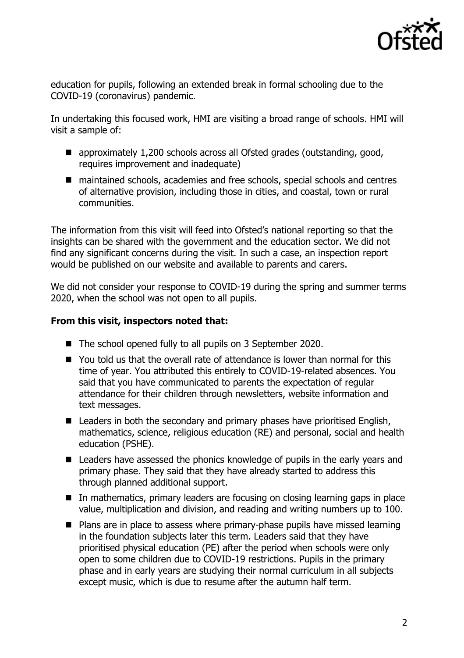

education for pupils, following an extended break in formal schooling due to the COVID-19 (coronavirus) pandemic.

In undertaking this focused work, HMI are visiting a broad range of schools. HMI will visit a sample of:

- approximately 1,200 schools across all Ofsted grades (outstanding, good, requires improvement and inadequate)
- maintained schools, academies and free schools, special schools and centres of alternative provision, including those in cities, and coastal, town or rural communities.

The information from this visit will feed into Ofsted's national reporting so that the insights can be shared with the government and the education sector. We did not find any significant concerns during the visit. In such a case, an inspection report would be published on our website and available to parents and carers.

We did not consider your response to COVID-19 during the spring and summer terms 2020, when the school was not open to all pupils.

## **From this visit, inspectors noted that:**

- The school opened fully to all pupils on 3 September 2020.
- You told us that the overall rate of attendance is lower than normal for this time of year. You attributed this entirely to COVID-19-related absences. You said that you have communicated to parents the expectation of regular attendance for their children through newsletters, website information and text messages.
- Leaders in both the secondary and primary phases have prioritised English, mathematics, science, religious education (RE) and personal, social and health education (PSHE).
- Leaders have assessed the phonics knowledge of pupils in the early years and primary phase. They said that they have already started to address this through planned additional support.
- In mathematics, primary leaders are focusing on closing learning gaps in place value, multiplication and division, and reading and writing numbers up to 100.
- Plans are in place to assess where primary-phase pupils have missed learning in the foundation subjects later this term. Leaders said that they have prioritised physical education (PE) after the period when schools were only open to some children due to COVID-19 restrictions. Pupils in the primary phase and in early years are studying their normal curriculum in all subjects except music, which is due to resume after the autumn half term.